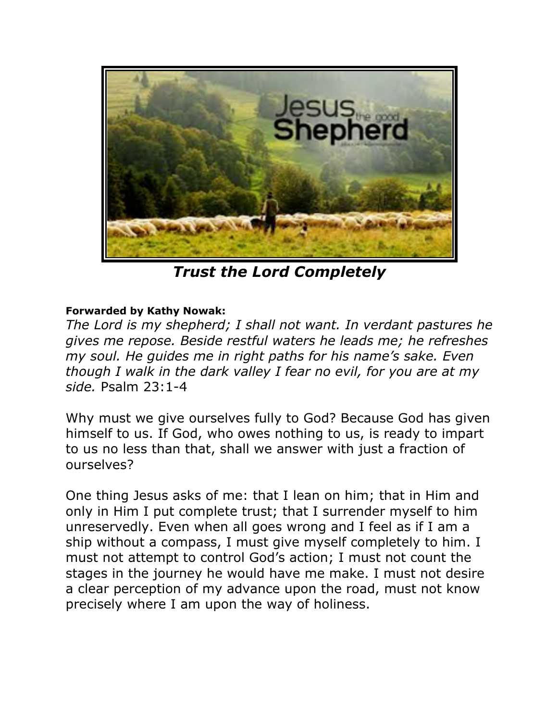

*Trust the Lord Completely* 

## **Forwarded by Kathy Nowak:**

*The Lord is my shepherd; I shall not want. In verdant pastures he gives me repose. Beside restful waters he leads me; he refreshes my soul. He guides me in right paths for his name's sake. Even though I walk in the dark valley I fear no evil, for you are at my side.* Psalm 23:1-4

Why must we give ourselves fully to God? Because God has given himself to us. If God, who owes nothing to us, is ready to impart to us no less than that, shall we answer with just a fraction of ourselves?

One thing Jesus asks of me: that I lean on him; that in Him and only in Him I put complete trust; that I surrender myself to him unreservedly. Even when all goes wrong and I feel as if I am a ship without a compass, I must give myself completely to him. I must not attempt to control God's action; I must not count the stages in the journey he would have me make. I must not desire a clear perception of my advance upon the road, must not know precisely where I am upon the way of holiness.